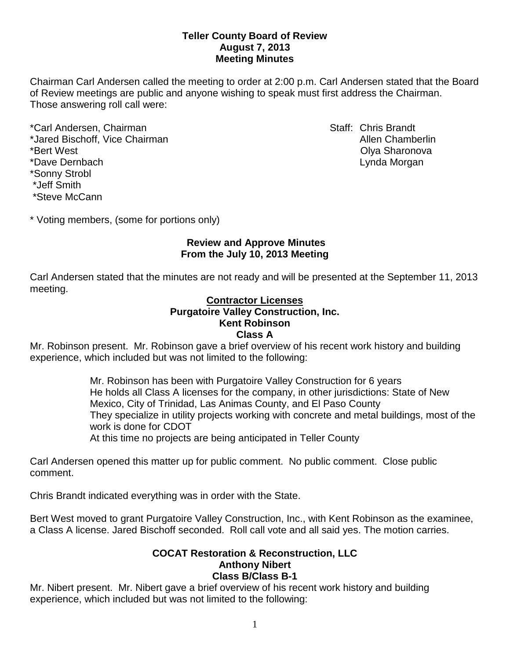## **Teller County Board of Review August 7, 2013 Meeting Minutes**

Chairman Carl Andersen called the meeting to order at 2:00 p.m. Carl Andersen stated that the Board of Review meetings are public and anyone wishing to speak must first address the Chairman. Those answering roll call were:

\*Carl Andersen, Chairman Staff: Chris Brandt \*Jared Bischoff, Vice Chairman Allen Chamberlin Allen Chamberlin \*Bert West Olya Sharonova \*Dave Dernbach Lynda Morgan \*Sonny Strobl \*Jeff Smith \*Steve McCann

\* Voting members, (some for portions only)

# **Review and Approve Minutes From the July 10, 2013 Meeting**

Carl Andersen stated that the minutes are not ready and will be presented at the September 11, 2013 meeting.

### **Contractor Licenses Purgatoire Valley Construction, Inc. Kent Robinson Class A**

Mr. Robinson present. Mr. Robinson gave a brief overview of his recent work history and building experience, which included but was not limited to the following:

> Mr. Robinson has been with Purgatoire Valley Construction for 6 years He holds all Class A licenses for the company, in other jurisdictions: State of New Mexico, City of Trinidad, Las Animas County, and El Paso County They specialize in utility projects working with concrete and metal buildings, most of the work is done for CDOT At this time no projects are being anticipated in Teller County

Carl Andersen opened this matter up for public comment. No public comment. Close public comment.

Chris Brandt indicated everything was in order with the State.

Bert West moved to grant Purgatoire Valley Construction, Inc., with Kent Robinson as the examinee, a Class A license. Jared Bischoff seconded. Roll call vote and all said yes. The motion carries.

#### **COCAT Restoration & Reconstruction, LLC Anthony Nibert Class B/Class B-1**

Mr. Nibert present. Mr. Nibert gave a brief overview of his recent work history and building experience, which included but was not limited to the following: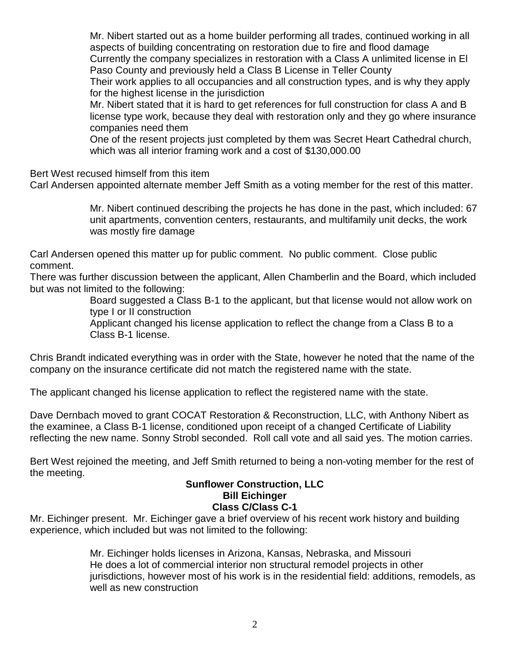Mr. Nibert started out as a home builder performing all trades, continued working in all aspects of building concentrating on restoration due to fire and flood damage Currently the company specializes in restoration with a Class A unlimited license in El Paso County and previously held a Class B License in Teller County Their work applies to all occupancies and all construction types, and is why they apply

for the highest license in the jurisdiction

Mr. Nibert stated that it is hard to get references for full construction for class A and B license type work, because they deal with restoration only and they go where insurance companies need them

One of the resent projects just completed by them was Secret Heart Cathedral church, which was all interior framing work and a cost of \$130,000.00

Bert West recused himself from this item

Carl Andersen appointed alternate member Jeff Smith as a voting member for the rest of this matter.

Mr. Nibert continued describing the projects he has done in the past, which included: 67 unit apartments, convention centers, restaurants, and multifamily unit decks, the work was mostly fire damage

Carl Andersen opened this matter up for public comment. No public comment. Close public comment.

There was further discussion between the applicant, Allen Chamberlin and the Board, which included but was not limited to the following:

> Board suggested a Class B-1 to the applicant, but that license would not allow work on type I or II construction

Applicant changed his license application to reflect the change from a Class B to a Class B-1 license.

Chris Brandt indicated everything was in order with the State, however he noted that the name of the company on the insurance certificate did not match the registered name with the state.

The applicant changed his license application to reflect the registered name with the state.

Dave Dernbach moved to grant COCAT Restoration & Reconstruction, LLC, with Anthony Nibert as the examinee, a Class B-1 license, conditioned upon receipt of a changed Certificate of Liability reflecting the new name. Sonny Strobl seconded. Roll call vote and all said yes. The motion carries.

Bert West rejoined the meeting, and Jeff Smith returned to being a non-voting member for the rest of the meeting.

### **Sunflower Construction, LLC Bill Eichinger Class C/Class C-1**

Mr. Eichinger present. Mr. Eichinger gave a brief overview of his recent work history and building experience, which included but was not limited to the following:

> Mr. Eichinger holds licenses in Arizona, Kansas, Nebraska, and Missouri He does a lot of commercial interior non structural remodel projects in other jurisdictions, however most of his work is in the residential field: additions, remodels, as well as new construction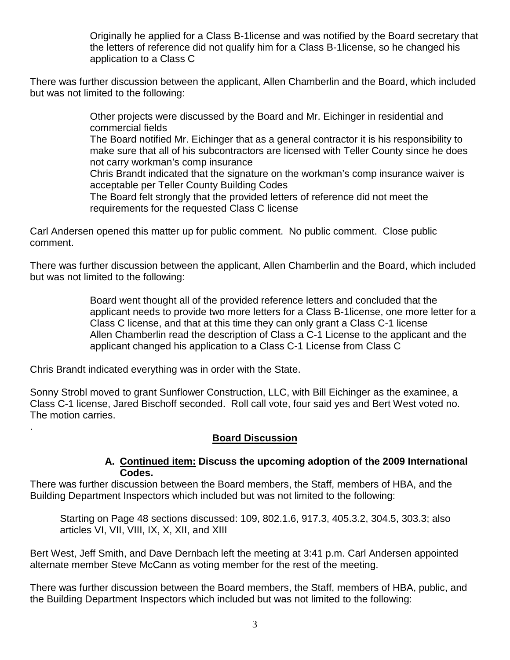Originally he applied for a Class B-1license and was notified by the Board secretary that the letters of reference did not qualify him for a Class B-1license, so he changed his application to a Class C

There was further discussion between the applicant, Allen Chamberlin and the Board, which included but was not limited to the following:

> Other projects were discussed by the Board and Mr. Eichinger in residential and commercial fields

The Board notified Mr. Eichinger that as a general contractor it is his responsibility to make sure that all of his subcontractors are licensed with Teller County since he does not carry workman's comp insurance

Chris Brandt indicated that the signature on the workman's comp insurance waiver is acceptable per Teller County Building Codes

The Board felt strongly that the provided letters of reference did not meet the requirements for the requested Class C license

Carl Andersen opened this matter up for public comment. No public comment. Close public comment.

There was further discussion between the applicant, Allen Chamberlin and the Board, which included but was not limited to the following:

> Board went thought all of the provided reference letters and concluded that the applicant needs to provide two more letters for a Class B-1license, one more letter for a Class C license, and that at this time they can only grant a Class C-1 license Allen Chamberlin read the description of Class a C-1 License to the applicant and the applicant changed his application to a Class C-1 License from Class C

Chris Brandt indicated everything was in order with the State.

.

Sonny Strobl moved to grant Sunflower Construction, LLC, with Bill Eichinger as the examinee, a Class C-1 license, Jared Bischoff seconded. Roll call vote, four said yes and Bert West voted no. The motion carries.

## **Board Discussion**

## **A. Continued item: Discuss the upcoming adoption of the 2009 International Codes.**

There was further discussion between the Board members, the Staff, members of HBA, and the Building Department Inspectors which included but was not limited to the following:

Starting on Page 48 sections discussed: 109, 802.1.6, 917.3, 405.3.2, 304.5, 303.3; also articles VI, VII, VIII, IX, X, XII, and XIII

Bert West, Jeff Smith, and Dave Dernbach left the meeting at 3:41 p.m. Carl Andersen appointed alternate member Steve McCann as voting member for the rest of the meeting.

There was further discussion between the Board members, the Staff, members of HBA, public, and the Building Department Inspectors which included but was not limited to the following: